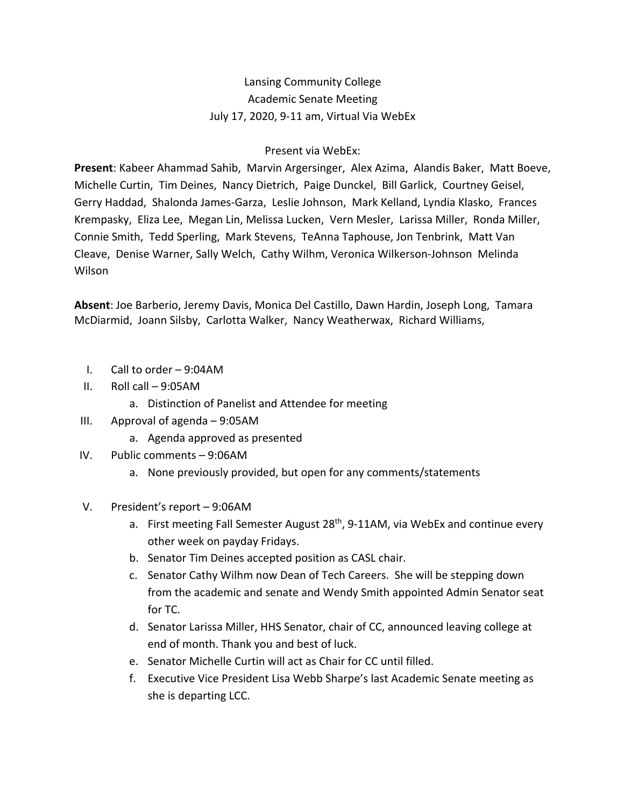## Lansing Community College Academic Senate Meeting July 17, 2020, 9-11 am, Virtual Via WebEx

## Present via WebEx:

 **Present**: Kabeer Ahammad Sahib, Marvin Argersinger, Alex Azima, Alandis Baker, Matt Boeve, Michelle Curtin, Tim Deines, Nancy Dietrich, Paige Dunckel, Bill Garlick, Courtney Geisel, Gerry Haddad, Shalonda James-Garza, Leslie Johnson, Mark Kelland, Lyndia Klasko, Frances Krempasky, Eliza Lee, Megan Lin, Melissa Lucken, Vern Mesler, Larissa Miller, Ronda Miller, Connie Smith, Tedd Sperling, Mark Stevens, TeAnna Taphouse, Jon Tenbrink, Matt Van Cleave, Denise Warner, Sally Welch, Cathy Wilhm, Veronica Wilkerson-Johnson Melinda Wilson

 **Absent**: Joe Barberio, Jeremy Davis, Monica Del Castillo, Dawn Hardin, Joseph Long, Tamara McDiarmid, Joann Silsby, Carlotta Walker, Nancy Weatherwax, Richard Williams,

- I. Call to order 9:04AM
- II. Roll call 9:05AM
	- a. Distinction of Panelist and Attendee for meeting
- III. Approval of agenda 9:05AM
	- a. Agenda approved as presented
- IV. Public comments 9:06AM
	- a. None previously provided, but open for any comments/statements
- V. President's report 9:06AM
	- a. First meeting Fall Semester August 28<sup>th</sup>, 9-11AM, via WebEx and continue every other week on payday Fridays.
	- b. Senator Tim Deines accepted position as CASL chair.
	- c. Senator Cathy Wilhm now Dean of Tech Careers. She will be stepping down from the academic and senate and Wendy Smith appointed Admin Senator seat for TC.
	- d. Senator Larissa Miller, HHS Senator, chair of CC, announced leaving college at end of month. Thank you and best of luck.
	- e. Senator Michelle Curtin will act as Chair for CC until filled.
	- f. Executive Vice President Lisa Webb Sharpe's last Academic Senate meeting as she is departing LCC.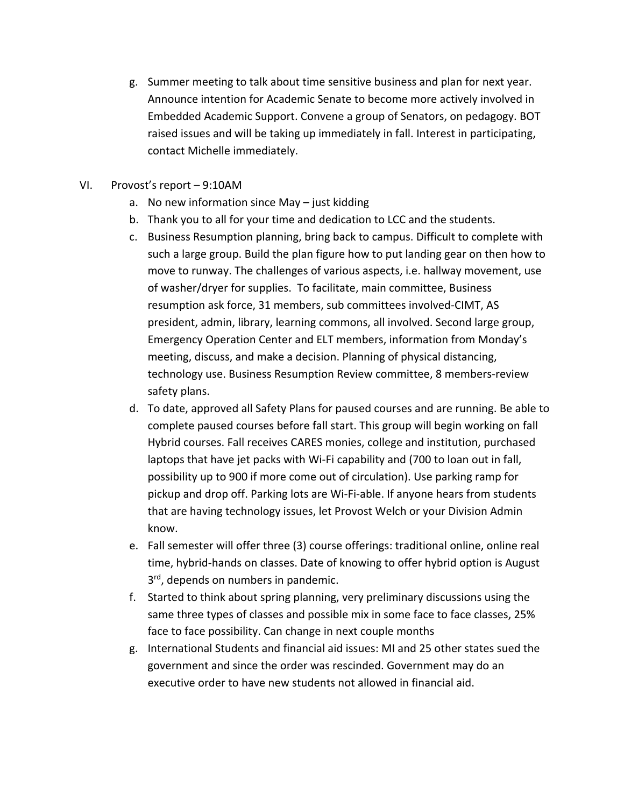g. Summer meeting to talk about time sensitive business and plan for next year. Announce intention for Academic Senate to become more actively involved in Embedded Academic Support. Convene a group of Senators, on pedagogy. BOT raised issues and will be taking up immediately in fall. Interest in participating, contact Michelle immediately.

## VI. Provost's report – 9:10AM

- a. No new information since May just kidding
- b. Thank you to all for your time and dedication to LCC and the students.
- c. Business Resumption planning, bring back to campus. Difficult to complete with such a large group. Build the plan figure how to put landing gear on then how to move to runway. The challenges of various aspects, i.e. hallway movement, use of washer/dryer for supplies. To facilitate, main committee, Business resumption ask force, 31 members, sub committees involved-CIMT, AS president, admin, library, learning commons, all involved. Second large group, Emergency Operation Center and ELT members, information from Monday's meeting, discuss, and make a decision. Planning of physical distancing, technology use. Business Resumption Review committee, 8 members-review safety plans.
- d. To date, approved all Safety Plans for paused courses and are running. Be able to complete paused courses before fall start. This group will begin working on fall Hybrid courses. Fall receives CARES monies, college and institution, purchased laptops that have jet packs with Wi-Fi capability and (700 to loan out in fall, possibility up to 900 if more come out of circulation). Use parking ramp for pickup and drop off. Parking lots are Wi-Fi-able. If anyone hears from students that are having technology issues, let Provost Welch or your Division Admin know.
- e. Fall semester will offer three (3) course offerings: traditional online, online real time, hybrid-hands on classes. Date of knowing to offer hybrid option is August 3<sup>rd</sup>, depends on numbers in pandemic.
- f. Started to think about spring planning, very preliminary discussions using the same three types of classes and possible mix in some face to face classes, 25% face to face possibility. Can change in next couple months
- g. International Students and financial aid issues: MI and 25 other states sued the government and since the order was rescinded. Government may do an executive order to have new students not allowed in financial aid.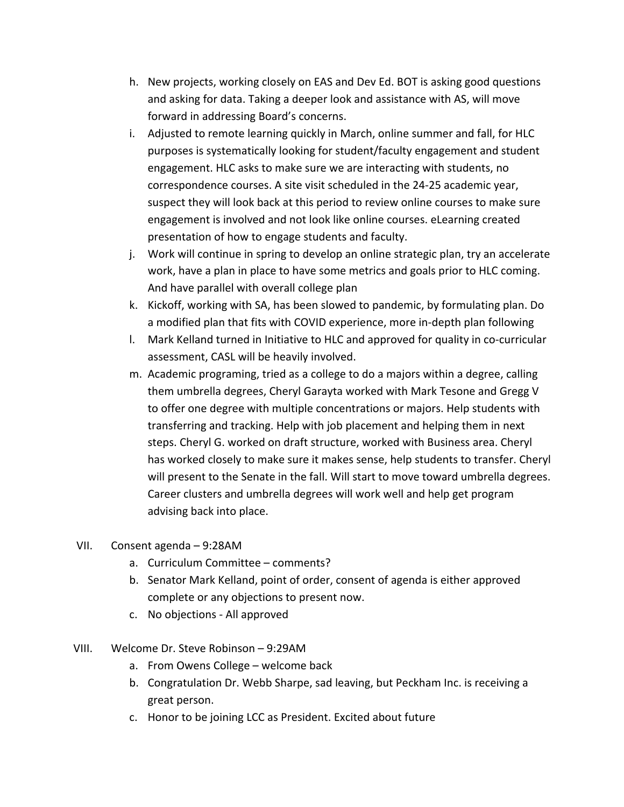- h. New projects, working closely on EAS and Dev Ed. BOT is asking good questions and asking for data. Taking a deeper look and assistance with AS, will move forward in addressing Board's concerns.
- i. Adjusted to remote learning quickly in March, online summer and fall, for HLC purposes is systematically looking for student/faculty engagement and student engagement. HLC asks to make sure we are interacting with students, no correspondence courses. A site visit scheduled in the 24-25 academic year, suspect they will look back at this period to review online courses to make sure engagement is involved and not look like online courses. eLearning created presentation of how to engage students and faculty.
- j. Work will continue in spring to develop an online strategic plan, try an accelerate work, have a plan in place to have some metrics and goals prior to HLC coming. And have parallel with overall college plan
- k. Kickoff, working with SA, has been slowed to pandemic, by formulating plan. Do a modified plan that fits with COVID experience, more in-depth plan following
- l. Mark Kelland turned in Initiative to HLC and approved for quality in co-curricular assessment, CASL will be heavily involved.
- m. Academic programing, tried as a college to do a majors within a degree, calling them umbrella degrees, Cheryl Garayta worked with Mark Tesone and Gregg V to offer one degree with multiple concentrations or majors. Help students with transferring and tracking. Help with job placement and helping them in next steps. Cheryl G. worked on draft structure, worked with Business area. Cheryl has worked closely to make sure it makes sense, help students to transfer. Cheryl will present to the Senate in the fall. Will start to move toward umbrella degrees. Career clusters and umbrella degrees will work well and help get program advising back into place.
- VII. Consent agenda 9:28AM
	- a. Curriculum Committee comments?
	- b. Senator Mark Kelland, point of order, consent of agenda is either approved complete or any objections to present now.
	- c. No objections All approved
- VIII. Welcome Dr. Steve Robinson 9:29AM
	- a. From Owens College welcome back
	- b. Congratulation Dr. Webb Sharpe, sad leaving, but Peckham Inc. is receiving a great person.
	- c. Honor to be joining LCC as President. Excited about future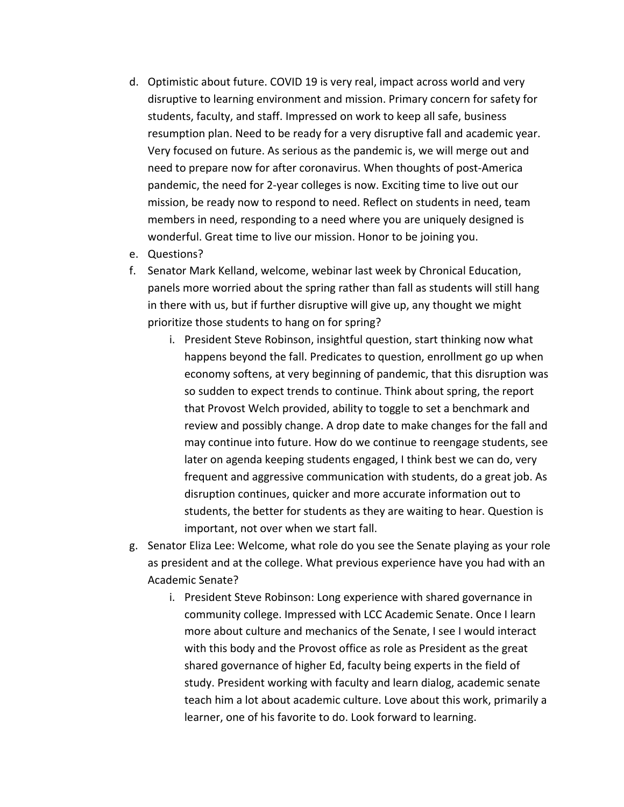- d. Optimistic about future. COVID 19 is very real, impact across world and very disruptive to learning environment and mission. Primary concern for safety for students, faculty, and staff. Impressed on work to keep all safe, business resumption plan. Need to be ready for a very disruptive fall and academic year. Very focused on future. As serious as the pandemic is, we will merge out and need to prepare now for after coronavirus. When thoughts of post-America pandemic, the need for 2-year colleges is now. Exciting time to live out our mission, be ready now to respond to need. Reflect on students in need, team members in need, responding to a need where you are uniquely designed is wonderful. Great time to live our mission. Honor to be joining you.
- e. Questions?
- f. Senator Mark Kelland, welcome, webinar last week by Chronical Education, panels more worried about the spring rather than fall as students will still hang in there with us, but if further disruptive will give up, any thought we might prioritize those students to hang on for spring?
	- i. President Steve Robinson, insightful question, start thinking now what happens beyond the fall. Predicates to question, enrollment go up when economy softens, at very beginning of pandemic, that this disruption was so sudden to expect trends to continue. Think about spring, the report that Provost Welch provided, ability to toggle to set a benchmark and review and possibly change. A drop date to make changes for the fall and may continue into future. How do we continue to reengage students, see later on agenda keeping students engaged, I think best we can do, very frequent and aggressive communication with students, do a great job. As disruption continues, quicker and more accurate information out to students, the better for students as they are waiting to hear. Question is important, not over when we start fall.
- g. Senator Eliza Lee: Welcome, what role do you see the Senate playing as your role as president and at the college. What previous experience have you had with an Academic Senate?
	- i. President Steve Robinson: Long experience with shared governance in community college. Impressed with LCC Academic Senate. Once I learn more about culture and mechanics of the Senate, I see I would interact with this body and the Provost office as role as President as the great shared governance of higher Ed, faculty being experts in the field of study. President working with faculty and learn dialog, academic senate teach him a lot about academic culture. Love about this work, primarily a learner, one of his favorite to do. Look forward to learning.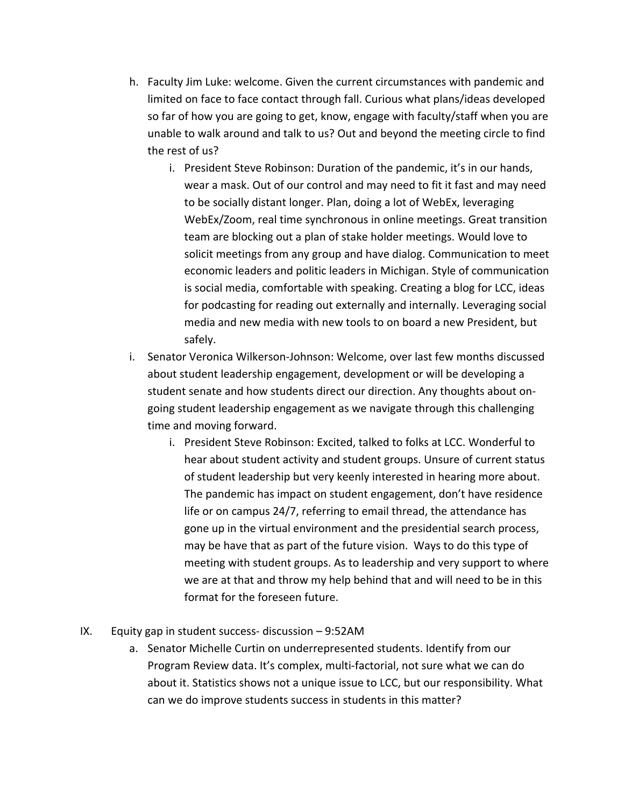- h. Faculty Jim Luke: welcome. Given the current circumstances with pandemic and limited on face to face contact through fall. Curious what plans/ideas developed so far of how you are going to get, know, engage with faculty/staff when you are unable to walk around and talk to us? Out and beyond the meeting circle to find the rest of us?
	- i. President Steve Robinson: Duration of the pandemic, it's in our hands, wear a mask. Out of our control and may need to fit it fast and may need to be socially distant longer. Plan, doing a lot of WebEx, leveraging WebEx/Zoom, real time synchronous in online meetings. Great transition team are blocking out a plan of stake holder meetings. Would love to solicit meetings from any group and have dialog. Communication to meet economic leaders and politic leaders in Michigan. Style of communication is social media, comfortable with speaking. Creating a blog for LCC, ideas for podcasting for reading out externally and internally. Leveraging social media and new media with new tools to on board a new President, but safely.
- i. Senator Veronica Wilkerson-Johnson: Welcome, over last few months discussed about student leadership engagement, development or will be developing a student senate and how students direct our direction. Any thoughts about on- going student leadership engagement as we navigate through this challenging time and moving forward.
	- i. President Steve Robinson: Excited, talked to folks at LCC. Wonderful to hear about student activity and student groups. Unsure of current status of student leadership but very keenly interested in hearing more about. The pandemic has impact on student engagement, don't have residence life or on campus 24/7, referring to email thread, the attendance has gone up in the virtual environment and the presidential search process, may be have that as part of the future vision. Ways to do this type of meeting with student groups. As to leadership and very support to where we are at that and throw my help behind that and will need to be in this format for the foreseen future.
- IX. Equity gap in student success- discussion 9:52AM
	- a. Senator Michelle Curtin on underrepresented students. Identify from our Program Review data. It's complex, multi-factorial, not sure what we can do about it. Statistics shows not a unique issue to LCC, but our responsibility. What can we do improve students success in students in this matter?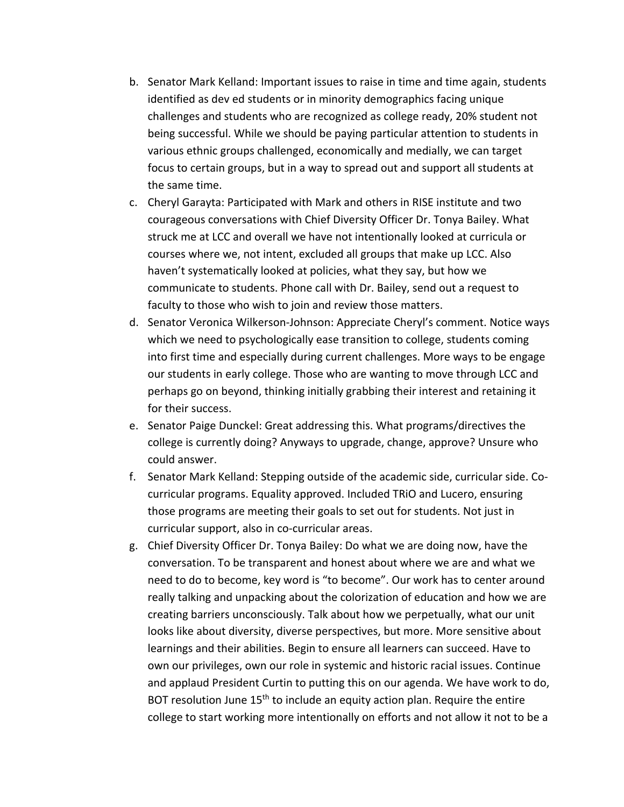- b. Senator Mark Kelland: Important issues to raise in time and time again, students identified as dev ed students or in minority demographics facing unique challenges and students who are recognized as college ready, 20% student not being successful. While we should be paying particular attention to students in various ethnic groups challenged, economically and medially, we can target focus to certain groups, but in a way to spread out and support all students at the same time.
- c. Cheryl Garayta: Participated with Mark and others in RISE institute and two courageous conversations with Chief Diversity Officer Dr. Tonya Bailey. What struck me at LCC and overall we have not intentionally looked at curricula or courses where we, not intent, excluded all groups that make up LCC. Also haven't systematically looked at policies, what they say, but how we communicate to students. Phone call with Dr. Bailey, send out a request to faculty to those who wish to join and review those matters.
- d. Senator Veronica Wilkerson-Johnson: Appreciate Cheryl's comment. Notice ways which we need to psychologically ease transition to college, students coming into first time and especially during current challenges. More ways to be engage our students in early college. Those who are wanting to move through LCC and perhaps go on beyond, thinking initially grabbing their interest and retaining it for their success.
- e. Senator Paige Dunckel: Great addressing this. What programs/directives the college is currently doing? Anyways to upgrade, change, approve? Unsure who could answer.
- f. Senator Mark Kelland: Stepping outside of the academic side, curricular side. Co- curricular programs. Equality approved. Included TRiO and Lucero, ensuring those programs are meeting their goals to set out for students. Not just in curricular support, also in co-curricular areas.
- g. Chief Diversity Officer Dr. Tonya Bailey: Do what we are doing now, have the conversation. To be transparent and honest about where we are and what we need to do to become, key word is "to become". Our work has to center around really talking and unpacking about the colorization of education and how we are creating barriers unconsciously. Talk about how we perpetually, what our unit looks like about diversity, diverse perspectives, but more. More sensitive about learnings and their abilities. Begin to ensure all learners can succeed. Have to own our privileges, own our role in systemic and historic racial issues. Continue and applaud President Curtin to putting this on our agenda. We have work to do, BOT resolution June 15<sup>th</sup> to include an equity action plan. Require the entire college to start working more intentionally on efforts and not allow it not to be a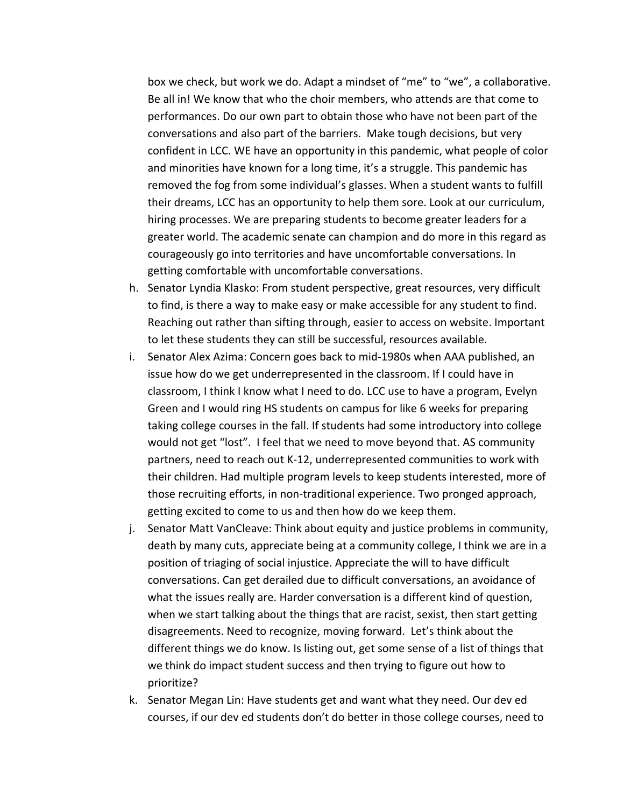box we check, but work we do. Adapt a mindset of "me" to "we", a collaborative. Be all in! We know that who the choir members, who attends are that come to performances. Do our own part to obtain those who have not been part of the conversations and also part of the barriers. Make tough decisions, but very confident in LCC. WE have an opportunity in this pandemic, what people of color and minorities have known for a long time, it's a struggle. This pandemic has removed the fog from some individual's glasses. When a student wants to fulfill their dreams, LCC has an opportunity to help them sore. Look at our curriculum, hiring processes. We are preparing students to become greater leaders for a greater world. The academic senate can champion and do more in this regard as courageously go into territories and have uncomfortable conversations. In getting comfortable with uncomfortable conversations.

- h. Senator Lyndia Klasko: From student perspective, great resources, very difficult to find, is there a way to make easy or make accessible for any student to find. Reaching out rather than sifting through, easier to access on website. Important to let these students they can still be successful, resources available.
- i. Senator Alex Azima: Concern goes back to mid-1980s when AAA published, an issue how do we get underrepresented in the classroom. If I could have in classroom, I think I know what I need to do. LCC use to have a program, Evelyn Green and I would ring HS students on campus for like 6 weeks for preparing taking college courses in the fall. If students had some introductory into college would not get "lost". I feel that we need to move beyond that. AS community partners, need to reach out K-12, underrepresented communities to work with their children. Had multiple program levels to keep students interested, more of those recruiting efforts, in non-traditional experience. Two pronged approach, getting excited to come to us and then how do we keep them.
- j. Senator Matt VanCleave: Think about equity and justice problems in community, death by many cuts, appreciate being at a community college, I think we are in a position of triaging of social injustice. Appreciate the will to have difficult conversations. Can get derailed due to difficult conversations, an avoidance of what the issues really are. Harder conversation is a different kind of question, when we start talking about the things that are racist, sexist, then start getting disagreements. Need to recognize, moving forward. Let's think about the different things we do know. Is listing out, get some sense of a list of things that we think do impact student success and then trying to figure out how to prioritize?
- prioritize? k. Senator Megan Lin: Have students get and want what they need. Our dev ed courses, if our dev ed students don't do better in those college courses, need to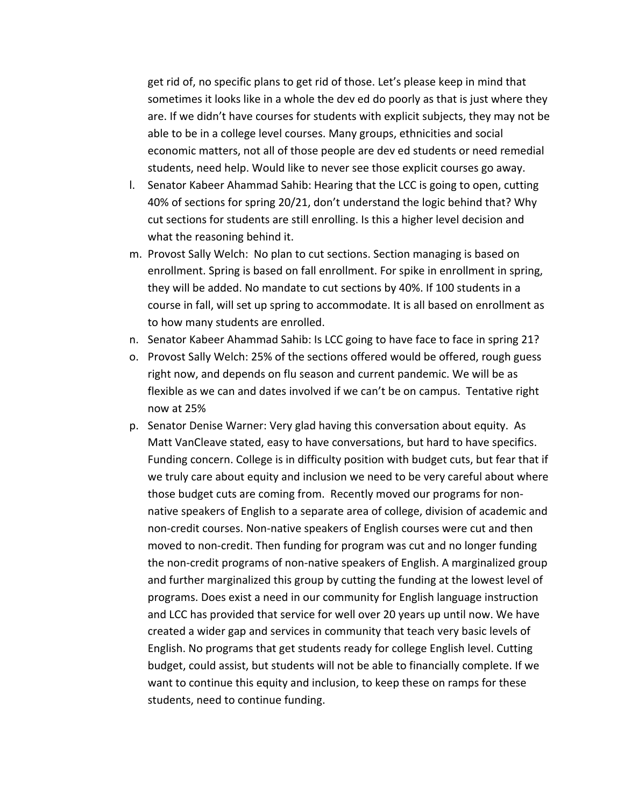get rid of, no specific plans to get rid of those. Let's please keep in mind that sometimes it looks like in a whole the dev ed do poorly as that is just where they are. If we didn't have courses for students with explicit subjects, they may not be able to be in a college level courses. Many groups, ethnicities and social economic matters, not all of those people are dev ed students or need remedial students, need help. Would like to never see those explicit courses go away.

- l. Senator Kabeer Ahammad Sahib: Hearing that the LCC is going to open, cutting 40% of sections for spring 20/21, don't understand the logic behind that? Why cut sections for students are still enrolling. Is this a higher level decision and what the reasoning behind it.
- m. Provost Sally Welch: No plan to cut sections. Section managing is based on enrollment. Spring is based on fall enrollment. For spike in enrollment in spring, they will be added. No mandate to cut sections by 40%. If 100 students in a course in fall, will set up spring to accommodate. It is all based on enrollment as to how many students are enrolled.
- n. Senator Kabeer Ahammad Sahib: Is LCC going to have face to face in spring 21?
- o. Provost Sally Welch: 25% of the sections offered would be offered, rough guess right now, and depends on flu season and current pandemic. We will be as flexible as we can and dates involved if we can't be on campus. Tentative right now at 25%
- p. Senator Denise Warner: Very glad having this conversation about equity. As Matt VanCleave stated, easy to have conversations, but hard to have specifics. Funding concern. College is in difficulty position with budget cuts, but fear that if we truly care about equity and inclusion we need to be very careful about where those budget cuts are coming from. Recently moved our programs for non- native speakers of English to a separate area of college, division of academic and non-credit courses. Non-native speakers of English courses were cut and then moved to non-credit. Then funding for program was cut and no longer funding the non-credit programs of non-native speakers of English. A marginalized group and further marginalized this group by cutting the funding at the lowest level of programs. Does exist a need in our community for English language instruction and LCC has provided that service for well over 20 years up until now. We have created a wider gap and services in community that teach very basic levels of English. No programs that get students ready for college English level. Cutting budget, could assist, but students will not be able to financially complete. If we want to continue this equity and inclusion, to keep these on ramps for these students, need to continue funding.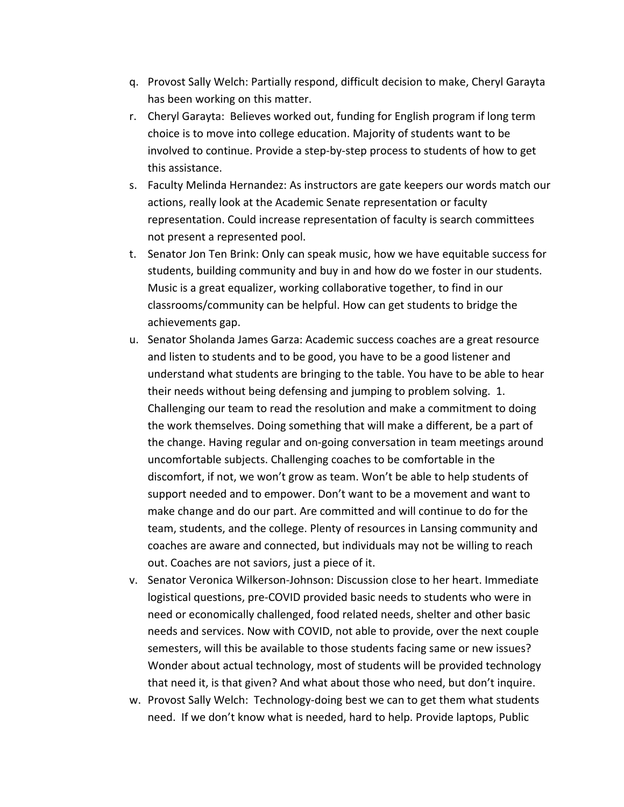- q. Provost Sally Welch: Partially respond, difficult decision to make, Cheryl Garayta has been working on this matter.
- r. Cheryl Garayta: Believes worked out, funding for English program if long term choice is to move into college education. Majority of students want to be involved to continue. Provide a step-by-step process to students of how to get this assistance.
- s. Faculty Melinda Hernandez: As instructors are gate keepers our words match our actions, really look at the Academic Senate representation or faculty representation. Could increase representation of faculty is search committees not present a represented pool.
- t. Senator Jon Ten Brink: Only can speak music, how we have equitable success for students, building community and buy in and how do we foster in our students. Music is a great equalizer, working collaborative together, to find in our classrooms/community can be helpful. How can get students to bridge the achievements gap.
- u. Senator Sholanda James Garza: Academic success coaches are a great resource and listen to students and to be good, you have to be a good listener and understand what students are bringing to the table. You have to be able to hear their needs without being defensing and jumping to problem solving. 1. Challenging our team to read the resolution and make a commitment to doing the work themselves. Doing something that will make a different, be a part of the change. Having regular and on-going conversation in team meetings around uncomfortable subjects. Challenging coaches to be comfortable in the discomfort, if not, we won't grow as team. Won't be able to help students of support needed and to empower. Don't want to be a movement and want to make change and do our part. Are committed and will continue to do for the team, students, and the college. Plenty of resources in Lansing community and coaches are aware and connected, but individuals may not be willing to reach out. Coaches are not saviors, just a piece of it.
- v. Senator Veronica Wilkerson-Johnson: Discussion close to her heart. Immediate logistical questions, pre-COVID provided basic needs to students who were in need or economically challenged, food related needs, shelter and other basic needs and services. Now with COVID, not able to provide, over the next couple semesters, will this be available to those students facing same or new issues? Wonder about actual technology, most of students will be provided technology that need it, is that given? And what about those who need, but don't inquire.
- w. Provost Sally Welch: Technology-doing best we can to get them what students need. If we don't know what is needed, hard to help. Provide laptops, Public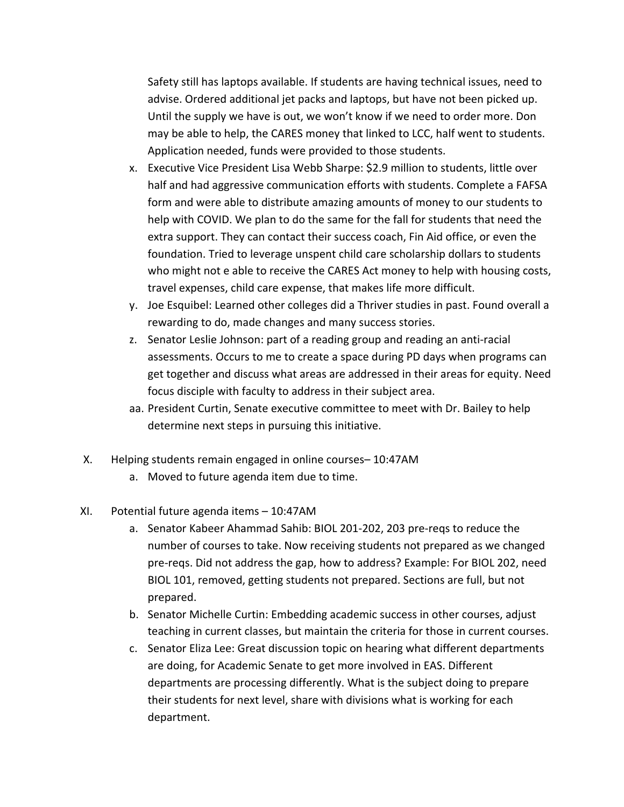Safety still has laptops available. If students are having technical issues, need to advise. Ordered additional jet packs and laptops, but have not been picked up. Until the supply we have is out, we won't know if we need to order more. Don may be able to help, the CARES money that linked to LCC, half went to students. Application needed, funds were provided to those students.

- x. Executive Vice President Lisa Webb Sharpe: \$2.9 million to students, little over half and had aggressive communication efforts with students. Complete a FAFSA form and were able to distribute amazing amounts of money to our students to help with COVID. We plan to do the same for the fall for students that need the extra support. They can contact their success coach, Fin Aid office, or even the foundation. Tried to leverage unspent child care scholarship dollars to students who might not e able to receive the CARES Act money to help with housing costs, travel expenses, child care expense, that makes life more difficult.
- y. Joe Esquibel: Learned other colleges did a Thriver studies in past. Found overall a rewarding to do, made changes and many success stories.
- z. Senator Leslie Johnson: part of a reading group and reading an anti-racial assessments. Occurs to me to create a space during PD days when programs can get together and discuss what areas are addressed in their areas for equity. Need focus disciple with faculty to address in their subject area.
- aa. President Curtin, Senate executive committee to meet with Dr. Bailey to help determine next steps in pursuing this initiative.
- X. Helping students remain engaged in online courses– 10:47AM
	- a. Moved to future agenda item due to time.
- XI. Potential future agenda items 10:47AM
	- a. Senator Kabeer Ahammad Sahib: BIOL 201-202, 203 pre-reqs to reduce the number of courses to take. Now receiving students not prepared as we changed pre-reqs. Did not address the gap, how to address? Example: For BIOL 202, need BIOL 101, removed, getting students not prepared. Sections are full, but not prepared.
	- b. Senator Michelle Curtin: Embedding academic success in other courses, adjust teaching in current classes, but maintain the criteria for those in current courses.
	- c. Senator Eliza Lee: Great discussion topic on hearing what different departments are doing, for Academic Senate to get more involved in EAS. Different departments are processing differently. What is the subject doing to prepare their students for next level, share with divisions what is working for each department.